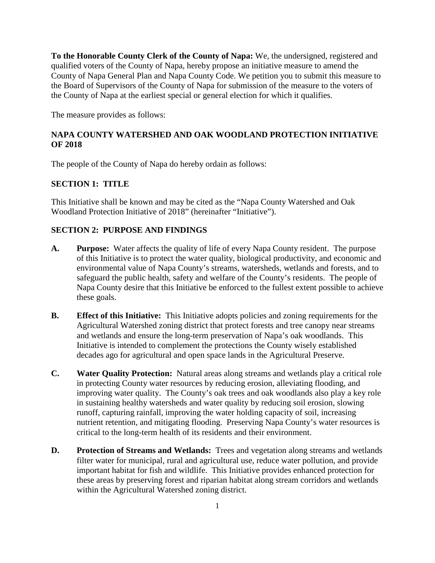**To the Honorable County Clerk of the County of Napa:** We, the undersigned, registered and qualified voters of the County of Napa, hereby propose an initiative measure to amend the County of Napa General Plan and Napa County Code. We petition you to submit this measure to the Board of Supervisors of the County of Napa for submission of the measure to the voters of the County of Napa at the earliest special or general election for which it qualifies.

The measure provides as follows:

## **NAPA COUNTY WATERSHED AND OAK WOODLAND PROTECTION INITIATIVE OF 2018**

The people of the County of Napa do hereby ordain as follows:

## **SECTION 1: TITLE**

This Initiative shall be known and may be cited as the "Napa County Watershed and Oak Woodland Protection Initiative of 2018" (hereinafter "Initiative").

## **SECTION 2: PURPOSE AND FINDINGS**

- **A. Purpose:** Water affects the quality of life of every Napa County resident.The purpose of this Initiative is to protect the water quality, biological productivity, and economic and environmental value of Napa County's streams, watersheds, wetlands and forests, and to safeguard the public health, safety and welfare of the County's residents. The people of Napa County desire that this Initiative be enforced to the fullest extent possible to achieve these goals.
- **B. Effect of this Initiative:** This Initiative adopts policies and zoning requirements for the Agricultural Watershed zoning district that protect forests and tree canopy near streams and wetlands and ensure the long-term preservation of Napa's oak woodlands. This Initiative is intended to complement the protections the County wisely established decades ago for agricultural and open space lands in the Agricultural Preserve.
- **C. Water Quality Protection:** Natural areas along streams and wetlands play a critical role in protecting County water resources by reducing erosion, alleviating flooding, and improving water quality. The County's oak trees and oak woodlands also play a key role in sustaining healthy watersheds and water quality by reducing soil erosion, slowing runoff, capturing rainfall, improving the water holding capacity of soil, increasing nutrient retention, and mitigating flooding. Preserving Napa County's water resources is critical to the long-term health of its residents and their environment.
- **D. Protection of Streams and Wetlands:** Trees and vegetation along streams and wetlands filter water for municipal, rural and agricultural use, reduce water pollution, and provide important habitat for fish and wildlife. This Initiative provides enhanced protection for these areas by preserving forest and riparian habitat along stream corridors and wetlands within the Agricultural Watershed zoning district.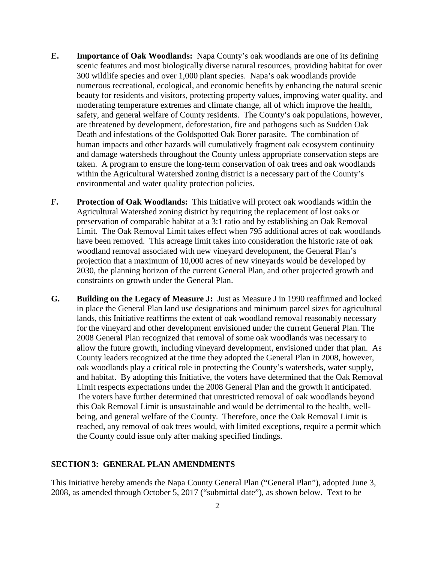- **E. Importance of Oak Woodlands:** Napa County's oak woodlands are one of its defining scenic features and most biologically diverse natural resources, providing habitat for over 300 wildlife species and over 1,000 plant species. Napa's oak woodlands provide numerous recreational, ecological, and economic benefits by enhancing the natural scenic beauty for residents and visitors, protecting property values, improving water quality, and moderating temperature extremes and climate change, all of which improve the health, safety, and general welfare of County residents. The County's oak populations, however, are threatened by development, deforestation, fire and pathogens such as Sudden Oak Death and infestations of the Goldspotted Oak Borer parasite. The combination of human impacts and other hazards will cumulatively fragment oak ecosystem continuity and damage watersheds throughout the County unless appropriate conservation steps are taken. A program to ensure the long-term conservation of oak trees and oak woodlands within the Agricultural Watershed zoning district is a necessary part of the County's environmental and water quality protection policies.
- **F. Protection of Oak Woodlands:** This Initiative will protect oak woodlands within the Agricultural Watershed zoning district by requiring the replacement of lost oaks or preservation of comparable habitat at a 3:1 ratio and by establishing an Oak Removal Limit. The Oak Removal Limit takes effect when 795 additional acres of oak woodlands have been removed. This acreage limit takes into consideration the historic rate of oak woodland removal associated with new vineyard development, the General Plan's projection that a maximum of 10,000 acres of new vineyards would be developed by 2030, the planning horizon of the current General Plan, and other projected growth and constraints on growth under the General Plan.
- **G. Building on the Legacy of Measure J:** Just as Measure J in 1990 reaffirmed and locked in place the General Plan land use designations and minimum parcel sizes for agricultural lands, this Initiative reaffirms the extent of oak woodland removal reasonably necessary for the vineyard and other development envisioned under the current General Plan. The 2008 General Plan recognized that removal of some oak woodlands was necessary to allow the future growth, including vineyard development, envisioned under that plan. As County leaders recognized at the time they adopted the General Plan in 2008, however, oak woodlands play a critical role in protecting the County's watersheds, water supply, and habitat. By adopting this Initiative, the voters have determined that the Oak Removal Limit respects expectations under the 2008 General Plan and the growth it anticipated. The voters have further determined that unrestricted removal of oak woodlands beyond this Oak Removal Limit is unsustainable and would be detrimental to the health, wellbeing, and general welfare of the County. Therefore, once the Oak Removal Limit is reached, any removal of oak trees would, with limited exceptions, require a permit which the County could issue only after making specified findings.

#### **SECTION 3: GENERAL PLAN AMENDMENTS**

This Initiative hereby amends the Napa County General Plan ("General Plan"), adopted June 3, 2008, as amended through October 5, 2017 ("submittal date"), as shown below. Text to be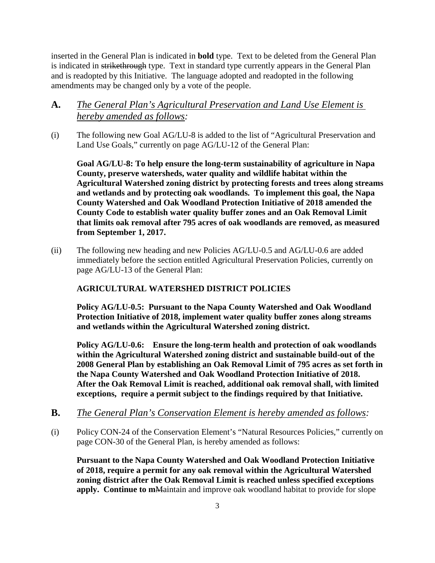inserted in the General Plan is indicated in **bold** type. Text to be deleted from the General Plan is indicated in strikethrough type. Text in standard type currently appears in the General Plan and is readopted by this Initiative. The language adopted and readopted in the following amendments may be changed only by a vote of the people.

# **A.** *The General Plan's Agricultural Preservation and Land Use Element is hereby amended as follows:*

(i) The following new Goal AG/LU-8 is added to the list of "Agricultural Preservation and Land Use Goals," currently on page AG/LU-12 of the General Plan:

**Goal AG/LU-8: To help ensure the long-term sustainability of agriculture in Napa County, preserve watersheds, water quality and wildlife habitat within the Agricultural Watershed zoning district by protecting forests and trees along streams and wetlands and by protecting oak woodlands. To implement this goal, the Napa County Watershed and Oak Woodland Protection Initiative of 2018 amended the County Code to establish water quality buffer zones and an Oak Removal Limit that limits oak removal after 795 acres of oak woodlands are removed, as measured from September 1, 2017.** 

(ii) The following new heading and new Policies AG/LU-0.5 and AG/LU-0.6 are added immediately before the section entitled Agricultural Preservation Policies, currently on page AG/LU-13 of the General Plan:

# **AGRICULTURAL WATERSHED DISTRICT POLICIES**

**Policy AG/LU-0.5: Pursuant to the Napa County Watershed and Oak Woodland Protection Initiative of 2018, implement water quality buffer zones along streams and wetlands within the Agricultural Watershed zoning district.** 

**Policy AG/LU-0.6: Ensure the long-term health and protection of oak woodlands within the Agricultural Watershed zoning district and sustainable build-out of the 2008 General Plan by establishing an Oak Removal Limit of 795 acres as set forth in the Napa County Watershed and Oak Woodland Protection Initiative of 2018. After the Oak Removal Limit is reached, additional oak removal shall, with limited exceptions, require a permit subject to the findings required by that Initiative.** 

- **B.** *The General Plan's Conservation Element is hereby amended as follows:*
- (i) Policy CON-24 of the Conservation Element's "Natural Resources Policies," currently on page CON-30 of the General Plan, is hereby amended as follows:

**Pursuant to the Napa County Watershed and Oak Woodland Protection Initiative of 2018, require a permit for any oak removal within the Agricultural Watershed zoning district after the Oak Removal Limit is reached unless specified exceptions apply. Continue to m**Maintain and improve oak woodland habitat to provide for slope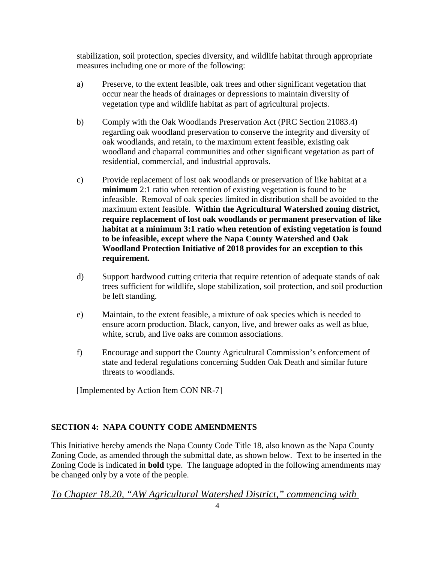stabilization, soil protection, species diversity, and wildlife habitat through appropriate measures including one or more of the following:

- a) Preserve, to the extent feasible, oak trees and other significant vegetation that occur near the heads of drainages or depressions to maintain diversity of vegetation type and wildlife habitat as part of agricultural projects.
- b) Comply with the Oak Woodlands Preservation Act (PRC Section 21083.4) regarding oak woodland preservation to conserve the integrity and diversity of oak woodlands, and retain, to the maximum extent feasible, existing oak woodland and chaparral communities and other significant vegetation as part of residential, commercial, and industrial approvals.
- c) Provide replacement of lost oak woodlands or preservation of like habitat at a **minimum** 2:1 ratio when retention of existing vegetation is found to be infeasible. Removal of oak species limited in distribution shall be avoided to the maximum extent feasible. **Within the Agricultural Watershed zoning district, require replacement of lost oak woodlands or permanent preservation of like habitat at a minimum 3:1 ratio when retention of existing vegetation is found to be infeasible, except where the Napa County Watershed and Oak Woodland Protection Initiative of 2018 provides for an exception to this requirement.**
- d) Support hardwood cutting criteria that require retention of adequate stands of oak trees sufficient for wildlife, slope stabilization, soil protection, and soil production be left standing.
- e) Maintain, to the extent feasible, a mixture of oak species which is needed to ensure acorn production. Black, canyon, live, and brewer oaks as well as blue, white, scrub, and live oaks are common associations.
- f) Encourage and support the County Agricultural Commission's enforcement of state and federal regulations concerning Sudden Oak Death and similar future threats to woodlands.

[Implemented by Action Item CON NR-7]

## **SECTION 4: NAPA COUNTY CODE AMENDMENTS**

This Initiative hereby amends the Napa County Code Title 18, also known as the Napa County Zoning Code, as amended through the submittal date, as shown below. Text to be inserted in the Zoning Code is indicated in **bold** type. The language adopted in the following amendments may be changed only by a vote of the people.

# *To Chapter 18.20, "AW Agricultural Watershed District," commencing with*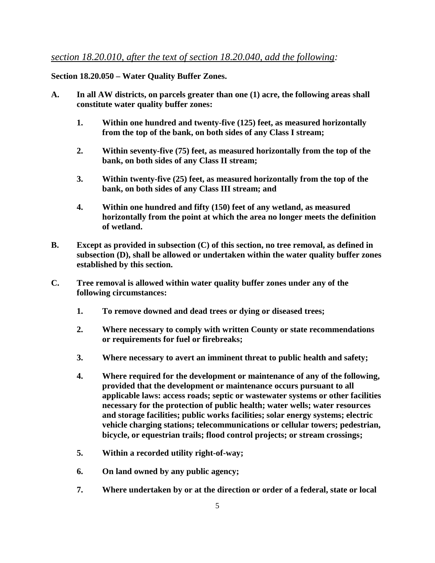## *section 18.20.010, after the text of section 18.20.040, add the following:*

## **Section 18.20.050 – Water Quality Buffer Zones.**

- **A. In all AW districts, on parcels greater than one (1) acre, the following areas shall constitute water quality buffer zones:**
	- **1. Within one hundred and twenty-five (125) feet, as measured horizontally from the top of the bank, on both sides of any Class I stream;**
	- **2. Within seventy-five (75) feet, as measured horizontally from the top of the bank, on both sides of any Class II stream;**
	- **3. Within twenty-five (25) feet, as measured horizontally from the top of the bank, on both sides of any Class III stream; and**
	- **4. Within one hundred and fifty (150) feet of any wetland, as measured horizontally from the point at which the area no longer meets the definition of wetland.**
- **B. Except as provided in subsection (C) of this section, no tree removal, as defined in subsection (D), shall be allowed or undertaken within the water quality buffer zones established by this section.**
- **C. Tree removal is allowed within water quality buffer zones under any of the following circumstances:** 
	- **1. To remove downed and dead trees or dying or diseased trees;**
	- **2. Where necessary to comply with written County or state recommendations or requirements for fuel or firebreaks;**
	- **3. Where necessary to avert an imminent threat to public health and safety;**
	- **4. Where required for the development or maintenance of any of the following, provided that the development or maintenance occurs pursuant to all applicable laws: access roads; septic or wastewater systems or other facilities necessary for the protection of public health; water wells; water resources and storage facilities; public works facilities; solar energy systems; electric vehicle charging stations; telecommunications or cellular towers; pedestrian, bicycle, or equestrian trails; flood control projects; or stream crossings;**
	- **5. Within a recorded utility right-of-way;**
	- **6. On land owned by any public agency;**
	- **7. Where undertaken by or at the direction or order of a federal, state or local**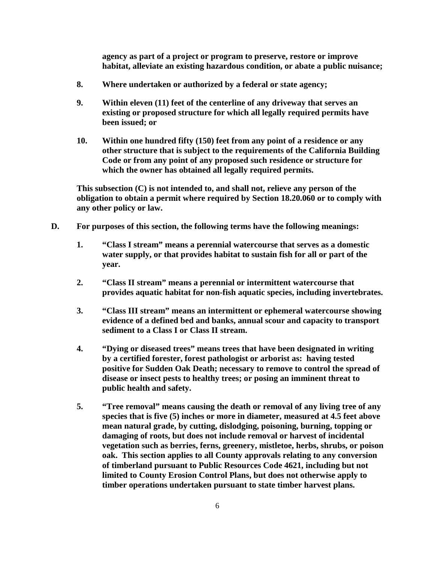**agency as part of a project or program to preserve, restore or improve habitat, alleviate an existing hazardous condition, or abate a public nuisance;** 

- **8. Where undertaken or authorized by a federal or state agency;**
- **9. Within eleven (11) feet of the centerline of any driveway that serves an existing or proposed structure for which all legally required permits have been issued; or**
- **10. Within one hundred fifty (150) feet from any point of a residence or any other structure that is subject to the requirements of the California Building Code or from any point of any proposed such residence or structure for which the owner has obtained all legally required permits.**

**This subsection (C) is not intended to, and shall not, relieve any person of the obligation to obtain a permit where required by Section 18.20.060 or to comply with any other policy or law.**

- **D. For purposes of this section, the following terms have the following meanings:**
	- **1. "Class I stream" means a perennial watercourse that serves as a domestic water supply, or that provides habitat to sustain fish for all or part of the year.**
	- **2. "Class II stream" means a perennial or intermittent watercourse that provides aquatic habitat for non-fish aquatic species, including invertebrates.**
	- **3. "Class III stream" means an intermittent or ephemeral watercourse showing evidence of a defined bed and banks, annual scour and capacity to transport sediment to a Class I or Class II stream.**
	- **4. "Dying or diseased trees" means trees that have been designated in writing by a certified forester, forest pathologist or arborist as: having tested positive for Sudden Oak Death; necessary to remove to control the spread of disease or insect pests to healthy trees; or posing an imminent threat to public health and safety.**
	- **5. "Tree removal" means causing the death or removal of any living tree of any species that is five (5) inches or more in diameter, measured at 4.5 feet above mean natural grade, by cutting, dislodging, poisoning, burning, topping or damaging of roots, but does not include removal or harvest of incidental vegetation such as berries, ferns, greenery, mistletoe, herbs, shrubs, or poison oak. This section applies to all County approvals relating to any conversion of timberland pursuant to Public Resources Code 4621, including but not limited to County Erosion Control Plans, but does not otherwise apply to timber operations undertaken pursuant to state timber harvest plans.**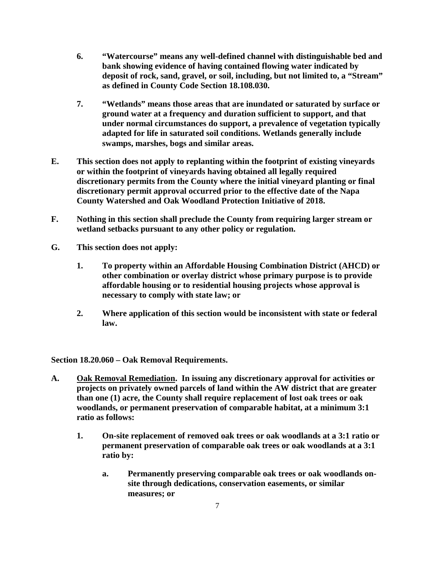- **6. "Watercourse" means any well-defined channel with distinguishable bed and bank showing evidence of having contained flowing water indicated by deposit of rock, sand, gravel, or soil, including, but not limited to, a "Stream" as defined in County Code Section 18.108.030.**
- **7. "Wetlands" means those areas that are inundated or saturated by surface or ground water at a frequency and duration sufficient to support, and that under normal circumstances do support, a prevalence of vegetation typically adapted for life in saturated soil conditions. Wetlands generally include swamps, marshes, bogs and similar areas.**
- **E. This section does not apply to replanting within the footprint of existing vineyards or within the footprint of vineyards having obtained all legally required discretionary permits from the County where the initial vineyard planting or final discretionary permit approval occurred prior to the effective date of the Napa County Watershed and Oak Woodland Protection Initiative of 2018.**
- **F. Nothing in this section shall preclude the County from requiring larger stream or wetland setbacks pursuant to any other policy or regulation.**
- **G. This section does not apply:** 
	- **1. To property within an Affordable Housing Combination District (AHCD) or other combination or overlay district whose primary purpose is to provide affordable housing or to residential housing projects whose approval is necessary to comply with state law; or**
	- **2. Where application of this section would be inconsistent with state or federal law.**

**Section 18.20.060 – Oak Removal Requirements.**

- **A. Oak Removal Remediation. In issuing any discretionary approval for activities or projects on privately owned parcels of land within the AW district that are greater than one (1) acre, the County shall require replacement of lost oak trees or oak woodlands, or permanent preservation of comparable habitat, at a minimum 3:1 ratio as follows:** 
	- **1. On-site replacement of removed oak trees or oak woodlands at a 3:1 ratio or permanent preservation of comparable oak trees or oak woodlands at a 3:1 ratio by:** 
		- **a. Permanently preserving comparable oak trees or oak woodlands onsite through dedications, conservation easements, or similar measures; or**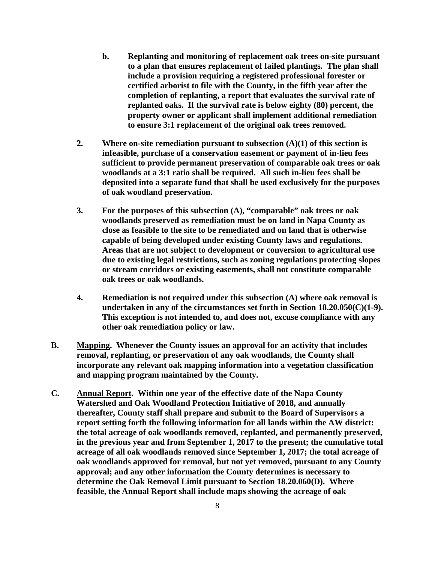- **b. Replanting and monitoring of replacement oak trees on-site pursuant to a plan that ensures replacement of failed plantings. The plan shall include a provision requiring a registered professional forester or certified arborist to file with the County, in the fifth year after the completion of replanting, a report that evaluates the survival rate of replanted oaks. If the survival rate is below eighty (80) percent, the property owner or applicant shall implement additional remediation to ensure 3:1 replacement of the original oak trees removed.**
- **2. Where on-site remediation pursuant to subsection (A)(1) of this section is infeasible, purchase of a conservation easement or payment of in-lieu fees sufficient to provide permanent preservation of comparable oak trees or oak woodlands at a 3:1 ratio shall be required. All such in-lieu fees shall be deposited into a separate fund that shall be used exclusively for the purposes of oak woodland preservation.**
- **3. For the purposes of this subsection (A), "comparable" oak trees or oak woodlands preserved as remediation must be on land in Napa County as close as feasible to the site to be remediated and on land that is otherwise capable of being developed under existing County laws and regulations. Areas that are not subject to development or conversion to agricultural use due to existing legal restrictions, such as zoning regulations protecting slopes or stream corridors or existing easements, shall not constitute comparable oak trees or oak woodlands.**
- **4. Remediation is not required under this subsection (A) where oak removal is undertaken in any of the circumstances set forth in Section 18.20.050(C)(1-9). This exception is not intended to, and does not, excuse compliance with any other oak remediation policy or law.**
- **B. Mapping. Whenever the County issues an approval for an activity that includes removal, replanting, or preservation of any oak woodlands, the County shall incorporate any relevant oak mapping information into a vegetation classification and mapping program maintained by the County.**
- **C. Annual Report. Within one year of the effective date of the Napa County Watershed and Oak Woodland Protection Initiative of 2018, and annually thereafter, County staff shall prepare and submit to the Board of Supervisors a report setting forth the following information for all lands within the AW district: the total acreage of oak woodlands removed, replanted, and permanently preserved, in the previous year and from September 1, 2017 to the present; the cumulative total acreage of all oak woodlands removed since September 1, 2017; the total acreage of oak woodlands approved for removal, but not yet removed, pursuant to any County approval; and any other information the County determines is necessary to determine the Oak Removal Limit pursuant to Section 18.20.060(D). Where feasible, the Annual Report shall include maps showing the acreage of oak**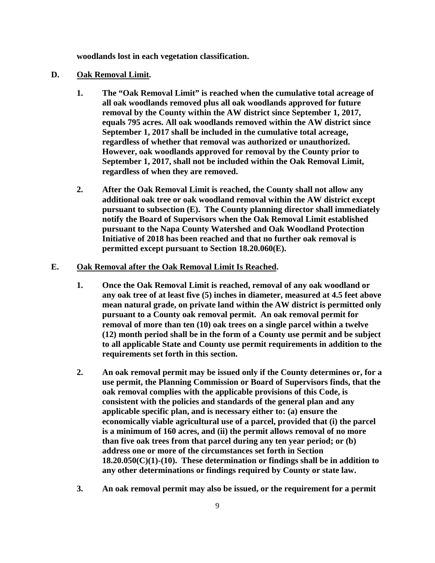**woodlands lost in each vegetation classification.** 

#### **D. Oak Removal Limit.**

- **1. The "Oak Removal Limit" is reached when the cumulative total acreage of all oak woodlands removed plus all oak woodlands approved for future removal by the County within the AW district since September 1, 2017, equals 795 acres. All oak woodlands removed within the AW district since September 1, 2017 shall be included in the cumulative total acreage, regardless of whether that removal was authorized or unauthorized. However, oak woodlands approved for removal by the County prior to September 1, 2017, shall not be included within the Oak Removal Limit, regardless of when they are removed.**
- **2. After the Oak Removal Limit is reached, the County shall not allow any additional oak tree or oak woodland removal within the AW district except pursuant to subsection (E). The County planning director shall immediately notify the Board of Supervisors when the Oak Removal Limit established pursuant to the Napa County Watershed and Oak Woodland Protection Initiative of 2018 has been reached and that no further oak removal is permitted except pursuant to Section 18.20.060(E).**

#### **E. Oak Removal after the Oak Removal Limit Is Reached.**

- **1. Once the Oak Removal Limit is reached, removal of any oak woodland or any oak tree of at least five (5) inches in diameter, measured at 4.5 feet above mean natural grade, on private land within the AW district is permitted only pursuant to a County oak removal permit. An oak removal permit for removal of more than ten (10) oak trees on a single parcel within a twelve (12) month period shall be in the form of a County use permit and be subject to all applicable State and County use permit requirements in addition to the requirements set forth in this section.**
- **2. An oak removal permit may be issued only if the County determines or, for a use permit, the Planning Commission or Board of Supervisors finds, that the oak removal complies with the applicable provisions of this Code, is consistent with the policies and standards of the general plan and any applicable specific plan, and is necessary either to: (a) ensure the economically viable agricultural use of a parcel, provided that (i) the parcel is a minimum of 160 acres, and (ii) the permit allows removal of no more than five oak trees from that parcel during any ten year period; or (b) address one or more of the circumstances set forth in Section 18.20.050(C)(1)-(10). These determination or findings shall be in addition to any other determinations or findings required by County or state law.**
- **3. An oak removal permit may also be issued, or the requirement for a permit**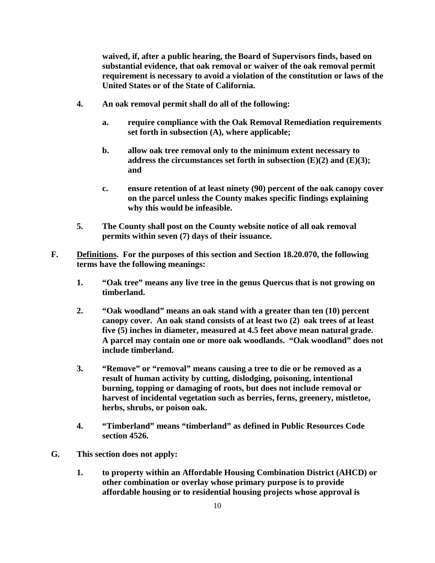**waived, if, after a public hearing, the Board of Supervisors finds, based on substantial evidence, that oak removal or waiver of the oak removal permit requirement is necessary to avoid a violation of the constitution or laws of the United States or of the State of California.** 

- **4. An oak removal permit shall do all of the following:** 
	- **a. require compliance with the Oak Removal Remediation requirements set forth in subsection (A), where applicable;**
	- **b. allow oak tree removal only to the minimum extent necessary to address the circumstances set forth in subsection (E)(2) and (E)(3); and**
	- **c. ensure retention of at least ninety (90) percent of the oak canopy cover on the parcel unless the County makes specific findings explaining why this would be infeasible.**
- **5. The County shall post on the County website notice of all oak removal permits within seven (7) days of their issuance.**
- **F. Definitions. For the purposes of this section and Section 18.20.070, the following terms have the following meanings:** 
	- **1. "Oak tree" means any live tree in the genus Quercus that is not growing on timberland.**
	- **2. "Oak woodland" means an oak stand with a greater than ten (10) percent canopy cover. An oak stand consists of at least two (2) oak trees of at least five (5) inches in diameter, measured at 4.5 feet above mean natural grade. A parcel may contain one or more oak woodlands. "Oak woodland" does not include timberland.**
	- **3. "Remove" or "removal" means causing a tree to die or be removed as a result of human activity by cutting, dislodging, poisoning, intentional burning, topping or damaging of roots, but does not include removal or harvest of incidental vegetation such as berries, ferns, greenery, mistletoe, herbs, shrubs, or poison oak.**
	- **4. "Timberland" means "timberland" as defined in Public Resources Code section 4526.**
- **G. This section does not apply:** 
	- **1. to property within an Affordable Housing Combination District (AHCD) or other combination or overlay whose primary purpose is to provide affordable housing or to residential housing projects whose approval is**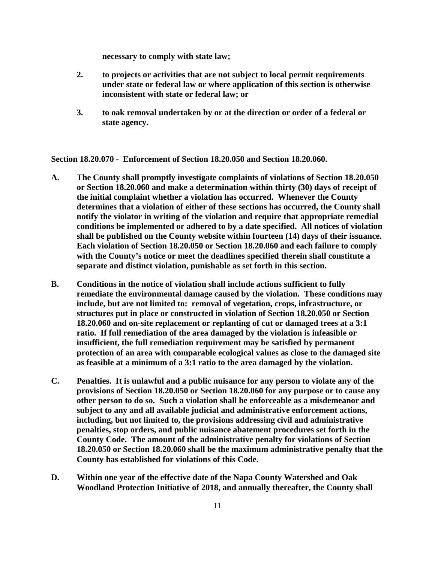**necessary to comply with state law;** 

- **2. to projects or activities that are not subject to local permit requirements under state or federal law or where application of this section is otherwise inconsistent with state or federal law; or**
- **3. to oak removal undertaken by or at the direction or order of a federal or state agency.**

**Section 18.20.070 - Enforcement of Section 18.20.050 and Section 18.20.060.**

- **A. The County shall promptly investigate complaints of violations of Section 18.20.050 or Section 18.20.060 and make a determination within thirty (30) days of receipt of the initial complaint whether a violation has occurred. Whenever the County determines that a violation of either of these sections has occurred, the County shall notify the violator in writing of the violation and require that appropriate remedial conditions be implemented or adhered to by a date specified. All notices of violation shall be published on the County website within fourteen (14) days of their issuance. Each violation of Section 18.20.050 or Section 18.20.060 and each failure to comply with the County's notice or meet the deadlines specified therein shall constitute a separate and distinct violation, punishable as set forth in this section.**
- **B. Conditions in the notice of violation shall include actions sufficient to fully remediate the environmental damage caused by the violation. These conditions may include, but are not limited to: removal of vegetation, crops, infrastructure, or structures put in place or constructed in violation of Section 18.20.050 or Section 18.20.060 and on-site replacement or replanting of cut or damaged trees at a 3:1 ratio. If full remediation of the area damaged by the violation is infeasible or insufficient, the full remediation requirement may be satisfied by permanent protection of an area with comparable ecological values as close to the damaged site as feasible at a minimum of a 3:1 ratio to the area damaged by the violation.**
- **C. Penalties. It is unlawful and a public nuisance for any person to violate any of the provisions of Section 18.20.050 or Section 18.20.060 for any purpose or to cause any other person to do so. Such a violation shall be enforceable as a misdemeanor and subject to any and all available judicial and administrative enforcement actions, including, but not limited to, the provisions addressing civil and administrative penalties, stop orders, and public nuisance abatement procedures set forth in the County Code. The amount of the administrative penalty for violations of Section 18.20.050 or Section 18.20.060 shall be the maximum administrative penalty that the County has established for violations of this Code.**
- **D. Within one year of the effective date of the Napa County Watershed and Oak Woodland Protection Initiative of 2018, and annually thereafter, the County shall**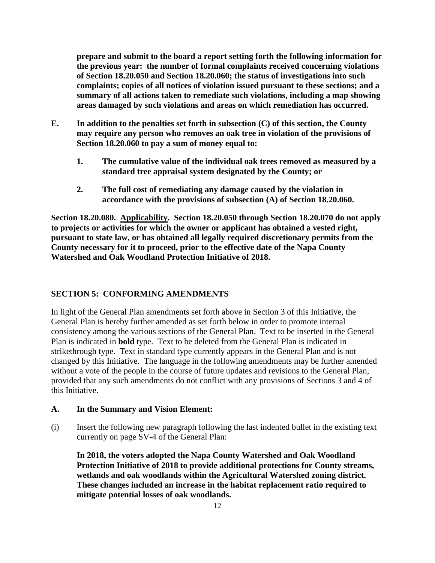**prepare and submit to the board a report setting forth the following information for the previous year: the number of formal complaints received concerning violations of Section 18.20.050 and Section 18.20.060; the status of investigations into such complaints; copies of all notices of violation issued pursuant to these sections; and a summary of all actions taken to remediate such violations, including a map showing areas damaged by such violations and areas on which remediation has occurred.** 

- **E. In addition to the penalties set forth in subsection (C) of this section, the County may require any person who removes an oak tree in violation of the provisions of Section 18.20.060 to pay a sum of money equal to:**
	- **1. The cumulative value of the individual oak trees removed as measured by a standard tree appraisal system designated by the County; or**
	- **2. The full cost of remediating any damage caused by the violation in accordance with the provisions of subsection (A) of Section 18.20.060.**

**Section 18.20.080. Applicability. Section 18.20.050 through Section 18.20.070 do not apply to projects or activities for which the owner or applicant has obtained a vested right, pursuant to state law, or has obtained all legally required discretionary permits from the County necessary for it to proceed, prior to the effective date of the Napa County Watershed and Oak Woodland Protection Initiative of 2018.**

#### **SECTION 5: CONFORMING AMENDMENTS**

In light of the General Plan amendments set forth above in Section 3 of this Initiative, the General Plan is hereby further amended as set forth below in order to promote internal consistency among the various sections of the General Plan. Text to be inserted in the General Plan is indicated in **bold** type. Text to be deleted from the General Plan is indicated in strikethrough type. Text in standard type currently appears in the General Plan and is not changed by this Initiative. The language in the following amendments may be further amended without a vote of the people in the course of future updates and revisions to the General Plan, provided that any such amendments do not conflict with any provisions of Sections 3 and 4 of this Initiative.

#### **A. In the Summary and Vision Element:**

(i) Insert the following new paragraph following the last indented bullet in the existing text currently on page SV-4 of the General Plan:

**In 2018, the voters adopted the Napa County Watershed and Oak Woodland Protection Initiative of 2018 to provide additional protections for County streams, wetlands and oak woodlands within the Agricultural Watershed zoning district. These changes included an increase in the habitat replacement ratio required to mitigate potential losses of oak woodlands.**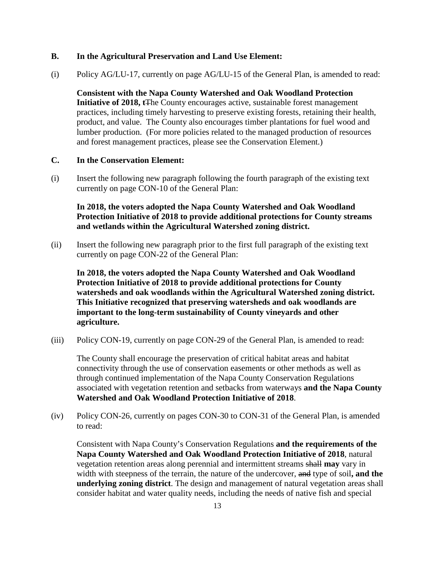### **B. In the Agricultural Preservation and Land Use Element:**

(i) Policy AG/LU-17, currently on page AG/LU-15 of the General Plan, is amended to read:

**Consistent with the Napa County Watershed and Oak Woodland Protection Initiative of 2018, t**The County encourages active, sustainable forest management practices, including timely harvesting to preserve existing forests, retaining their health, product, and value. The County also encourages timber plantations for fuel wood and lumber production. (For more policies related to the managed production of resources and forest management practices, please see the Conservation Element.)

#### **C. In the Conservation Element:**

(i) Insert the following new paragraph following the fourth paragraph of the existing text currently on page CON-10 of the General Plan:

## **In 2018, the voters adopted the Napa County Watershed and Oak Woodland Protection Initiative of 2018 to provide additional protections for County streams and wetlands within the Agricultural Watershed zoning district.**

(ii) Insert the following new paragraph prior to the first full paragraph of the existing text currently on page CON-22 of the General Plan:

**In 2018, the voters adopted the Napa County Watershed and Oak Woodland Protection Initiative of 2018 to provide additional protections for County watersheds and oak woodlands within the Agricultural Watershed zoning district. This Initiative recognized that preserving watersheds and oak woodlands are important to the long-term sustainability of County vineyards and other agriculture.** 

(iii) Policy CON-19, currently on page CON-29 of the General Plan, is amended to read:

The County shall encourage the preservation of critical habitat areas and habitat connectivity through the use of conservation easements or other methods as well as through continued implementation of the Napa County Conservation Regulations associated with vegetation retention and setbacks from waterways **and the Napa County Watershed and Oak Woodland Protection Initiative of 2018**.

(iv) Policy CON-26, currently on pages CON-30 to CON-31 of the General Plan, is amended to read:

Consistent with Napa County's Conservation Regulations **and the requirements of the Napa County Watershed and Oak Woodland Protection Initiative of 2018**, natural vegetation retention areas along perennial and intermittent streams shall **may** vary in width with steepness of the terrain, the nature of the undercover, and type of soil**, and the underlying zoning district**. The design and management of natural vegetation areas shall consider habitat and water quality needs, including the needs of native fish and special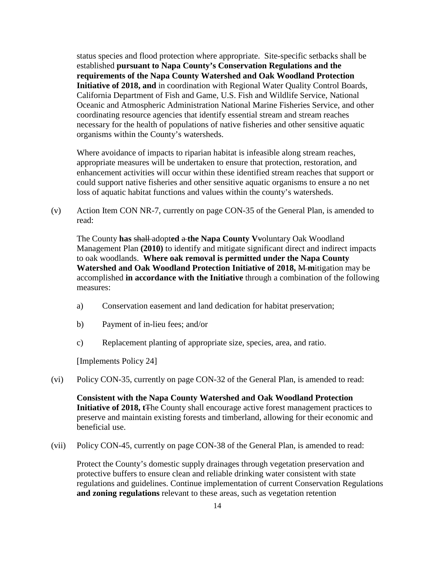status species and flood protection where appropriate. Site-specific setbacks shall be established **pursuant to Napa County's Conservation Regulations and the requirements of the Napa County Watershed and Oak Woodland Protection Initiative of 2018, and** in coordination with Regional Water Quality Control Boards, California Department of Fish and Game, U.S. Fish and Wildlife Service, National Oceanic and Atmospheric Administration National Marine Fisheries Service, and other coordinating resource agencies that identify essential stream and stream reaches necessary for the health of populations of native fisheries and other sensitive aquatic organisms within the County's watersheds.

Where avoidance of impacts to riparian habitat is infeasible along stream reaches, appropriate measures will be undertaken to ensure that protection, restoration, and enhancement activities will occur within these identified stream reaches that support or could support native fisheries and other sensitive aquatic organisms to ensure a no net loss of aquatic habitat functions and values within the county's watersheds.

(v) Action Item CON NR-7, currently on page CON-35 of the General Plan, is amended to read:

The County **has** shall adopt**ed** a **the Napa County V**voluntary Oak Woodland Management Plan **(2010)** to identify and mitigate significant direct and indirect impacts to oak woodlands. **Where oak removal is permitted under the Napa County Watershed and Oak Woodland Protection Initiative of 2018, M-mitigation may be** accomplished **in accordance with the Initiative** through a combination of the following measures:

- a) Conservation easement and land dedication for habitat preservation;
- b) Payment of in-lieu fees; and/or
- c) Replacement planting of appropriate size, species, area, and ratio.

[Implements Policy 24]

(vi) Policy CON-35, currently on page CON-32 of the General Plan, is amended to read:

**Consistent with the Napa County Watershed and Oak Woodland Protection Initiative of 2018, t**The County shall encourage active forest management practices to preserve and maintain existing forests and timberland, allowing for their economic and beneficial use.

(vii) Policy CON-45, currently on page CON-38 of the General Plan, is amended to read:

Protect the County's domestic supply drainages through vegetation preservation and protective buffers to ensure clean and reliable drinking water consistent with state regulations and guidelines. Continue implementation of current Conservation Regulations **and zoning regulations** relevant to these areas, such as vegetation retention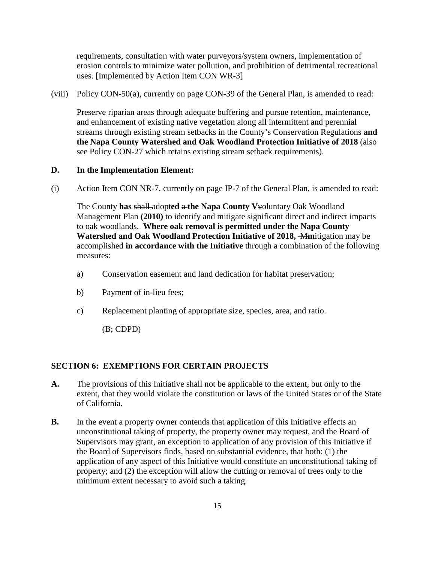requirements, consultation with water purveyors/system owners, implementation of erosion controls to minimize water pollution, and prohibition of detrimental recreational uses. [Implemented by Action Item CON WR-3]

(viii) Policy CON-50(a), currently on page CON-39 of the General Plan, is amended to read:

Preserve riparian areas through adequate buffering and pursue retention, maintenance, and enhancement of existing native vegetation along all intermittent and perennial streams through existing stream setbacks in the County's Conservation Regulations **and the Napa County Watershed and Oak Woodland Protection Initiative of 2018** (also see Policy CON-27 which retains existing stream setback requirements).

### **D. In the Implementation Element:**

(i) Action Item CON NR-7, currently on page IP-7 of the General Plan, is amended to read:

The County **has** shall adopt**ed** a **the Napa County V**voluntary Oak Woodland Management Plan **(2010)** to identify and mitigate significant direct and indirect impacts to oak woodlands. **Where oak removal is permitted under the Napa County Watershed and Oak Woodland Protection Initiative of 2018,** M**m**itigation may be accomplished **in accordance with the Initiative** through a combination of the following measures:

- a) Conservation easement and land dedication for habitat preservation;
- b) Payment of in-lieu fees;
- c) Replacement planting of appropriate size, species, area, and ratio.

(B; CDPD)

## **SECTION 6: EXEMPTIONS FOR CERTAIN PROJECTS**

- **A.** The provisions of this Initiative shall not be applicable to the extent, but only to the extent, that they would violate the constitution or laws of the United States or of the State of California.
- **B.** In the event a property owner contends that application of this Initiative effects an unconstitutional taking of property, the property owner may request, and the Board of Supervisors may grant, an exception to application of any provision of this Initiative if the Board of Supervisors finds, based on substantial evidence, that both: (1) the application of any aspect of this Initiative would constitute an unconstitutional taking of property; and (2) the exception will allow the cutting or removal of trees only to the minimum extent necessary to avoid such a taking.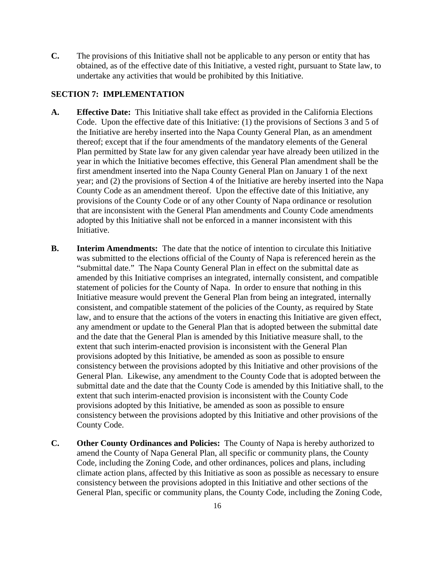**C.** The provisions of this Initiative shall not be applicable to any person or entity that has obtained, as of the effective date of this Initiative, a vested right, pursuant to State law, to undertake any activities that would be prohibited by this Initiative.

#### **SECTION 7: IMPLEMENTATION**

- **A. Effective Date:** This Initiative shall take effect as provided in the California Elections Code. Upon the effective date of this Initiative: (1) the provisions of Sections 3 and 5 of the Initiative are hereby inserted into the Napa County General Plan, as an amendment thereof; except that if the four amendments of the mandatory elements of the General Plan permitted by State law for any given calendar year have already been utilized in the year in which the Initiative becomes effective, this General Plan amendment shall be the first amendment inserted into the Napa County General Plan on January 1 of the next year; and (2) the provisions of Section 4 of the Initiative are hereby inserted into the Napa County Code as an amendment thereof. Upon the effective date of this Initiative, any provisions of the County Code or of any other County of Napa ordinance or resolution that are inconsistent with the General Plan amendments and County Code amendments adopted by this Initiative shall not be enforced in a manner inconsistent with this Initiative.
- **B. Interim Amendments:** The date that the notice of intention to circulate this Initiative was submitted to the elections official of the County of Napa is referenced herein as the "submittal date." The Napa County General Plan in effect on the submittal date as amended by this Initiative comprises an integrated, internally consistent, and compatible statement of policies for the County of Napa. In order to ensure that nothing in this Initiative measure would prevent the General Plan from being an integrated, internally consistent, and compatible statement of the policies of the County, as required by State law, and to ensure that the actions of the voters in enacting this Initiative are given effect, any amendment or update to the General Plan that is adopted between the submittal date and the date that the General Plan is amended by this Initiative measure shall, to the extent that such interim-enacted provision is inconsistent with the General Plan provisions adopted by this Initiative, be amended as soon as possible to ensure consistency between the provisions adopted by this Initiative and other provisions of the General Plan. Likewise, any amendment to the County Code that is adopted between the submittal date and the date that the County Code is amended by this Initiative shall, to the extent that such interim-enacted provision is inconsistent with the County Code provisions adopted by this Initiative, be amended as soon as possible to ensure consistency between the provisions adopted by this Initiative and other provisions of the County Code.
- **C. Other County Ordinances and Policies:** The County of Napa is hereby authorized to amend the County of Napa General Plan, all specific or community plans, the County Code, including the Zoning Code, and other ordinances, polices and plans, including climate action plans, affected by this Initiative as soon as possible as necessary to ensure consistency between the provisions adopted in this Initiative and other sections of the General Plan, specific or community plans, the County Code, including the Zoning Code,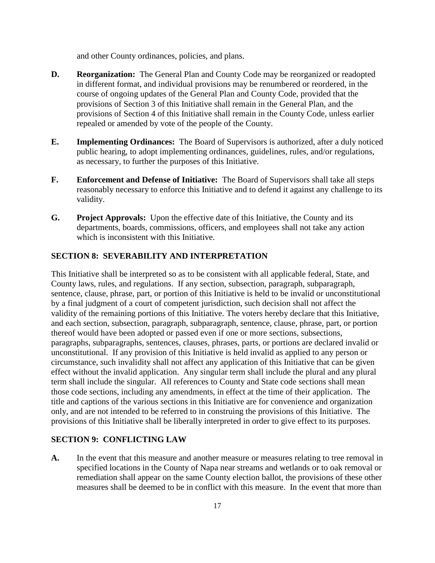and other County ordinances, policies, and plans.

- **D. Reorganization:** The General Plan and County Code may be reorganized or readopted in different format, and individual provisions may be renumbered or reordered, in the course of ongoing updates of the General Plan and County Code, provided that the provisions of Section 3 of this Initiative shall remain in the General Plan, and the provisions of Section 4 of this Initiative shall remain in the County Code, unless earlier repealed or amended by vote of the people of the County.
- **E. Implementing Ordinances:** The Board of Supervisors is authorized, after a duly noticed public hearing, to adopt implementing ordinances, guidelines, rules, and/or regulations, as necessary, to further the purposes of this Initiative.
- **F. Enforcement and Defense of Initiative:** The Board of Supervisors shall take all steps reasonably necessary to enforce this Initiative and to defend it against any challenge to its validity.
- **G. Project Approvals:** Upon the effective date of this Initiative, the County and its departments, boards, commissions, officers, and employees shall not take any action which is inconsistent with this Initiative.

## **SECTION 8: SEVERABILITY AND INTERPRETATION**

This Initiative shall be interpreted so as to be consistent with all applicable federal, State, and County laws, rules, and regulations. If any section, subsection, paragraph, subparagraph, sentence, clause, phrase, part, or portion of this Initiative is held to be invalid or unconstitutional by a final judgment of a court of competent jurisdiction, such decision shall not affect the validity of the remaining portions of this Initiative. The voters hereby declare that this Initiative, and each section, subsection, paragraph, subparagraph, sentence, clause, phrase, part, or portion thereof would have been adopted or passed even if one or more sections, subsections, paragraphs, subparagraphs, sentences, clauses, phrases, parts, or portions are declared invalid or unconstitutional. If any provision of this Initiative is held invalid as applied to any person or circumstance, such invalidity shall not affect any application of this Initiative that can be given effect without the invalid application. Any singular term shall include the plural and any plural term shall include the singular. All references to County and State code sections shall mean those code sections, including any amendments, in effect at the time of their application. The title and captions of the various sections in this Initiative are for convenience and organization only, and are not intended to be referred to in construing the provisions of this Initiative. The provisions of this Initiative shall be liberally interpreted in order to give effect to its purposes.

#### **SECTION 9: CONFLICTING LAW**

**A.** In the event that this measure and another measure or measures relating to tree removal in specified locations in the County of Napa near streams and wetlands or to oak removal or remediation shall appear on the same County election ballot, the provisions of these other measures shall be deemed to be in conflict with this measure. In the event that more than